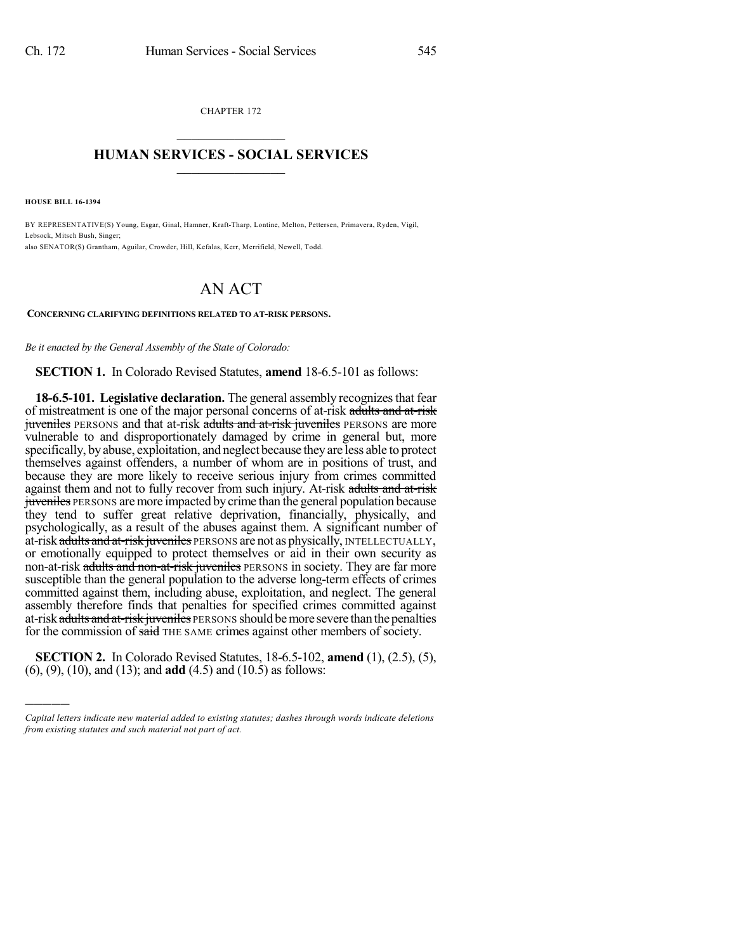CHAPTER 172  $\overline{\phantom{a}}$  . The set of the set of the set of the set of the set of the set of the set of the set of the set of the set of the set of the set of the set of the set of the set of the set of the set of the set of the set o

### **HUMAN SERVICES - SOCIAL SERVICES**  $\frac{1}{2}$  ,  $\frac{1}{2}$  ,  $\frac{1}{2}$  ,  $\frac{1}{2}$  ,  $\frac{1}{2}$  ,  $\frac{1}{2}$  ,  $\frac{1}{2}$

**HOUSE BILL 16-1394**

)))))

BY REPRESENTATIVE(S) Young, Esgar, Ginal, Hamner, Kraft-Tharp, Lontine, Melton, Pettersen, Primavera, Ryden, Vigil, Lebsock, Mitsch Bush, Singer; also SENATOR(S) Grantham, Aguilar, Crowder, Hill, Kefalas, Kerr, Merrifield, Newell, Todd.

# AN ACT

**CONCERNING CLARIFYING DEFINITIONS RELATED TO AT-RISK PERSONS.**

*Be it enacted by the General Assembly of the State of Colorado:*

**SECTION 1.** In Colorado Revised Statutes, **amend** 18-6.5-101 as follows:

**18-6.5-101. Legislative declaration.** The general assembly recognizes that fear of mistreatment is one of the major personal concerns of at-risk adults and at-risk juveniles PERSONS and that at-risk adults and at-risk juveniles PERSONS are more vulnerable to and disproportionately damaged by crime in general but, more specifically, byabuse, exploitation, and neglect because theyare less able to protect themselves against offenders, a number of whom are in positions of trust, and because they are more likely to receive serious injury from crimes committed against them and not to fully recover from such injury. At-risk adults and at-risk juveniles PERSONS are more impacted by crime than the general population because they tend to suffer great relative deprivation, financially, physically, and psychologically, as a result of the abuses against them. A significant number of at-risk adults and at-risk juveniles PERSONS are not as physically, INTELLECTUALLY, or emotionally equipped to protect themselves or aid in their own security as non-at-risk adults and non-at-risk juveniles PERSONS in society. They are far more susceptible than the general population to the adverse long-term effects of crimes committed against them, including abuse, exploitation, and neglect. The general assembly therefore finds that penalties for specified crimes committed against at-risk adults and at-risk juveniles PERSONS should be more severe than the penalties for the commission of said THE SAME crimes against other members of society.

**SECTION 2.** In Colorado Revised Statutes, 18-6.5-102, **amend** (1), (2.5), (5), (6), (9), (10), and (13); and **add** (4.5) and (10.5) as follows:

*Capital letters indicate new material added to existing statutes; dashes through words indicate deletions from existing statutes and such material not part of act.*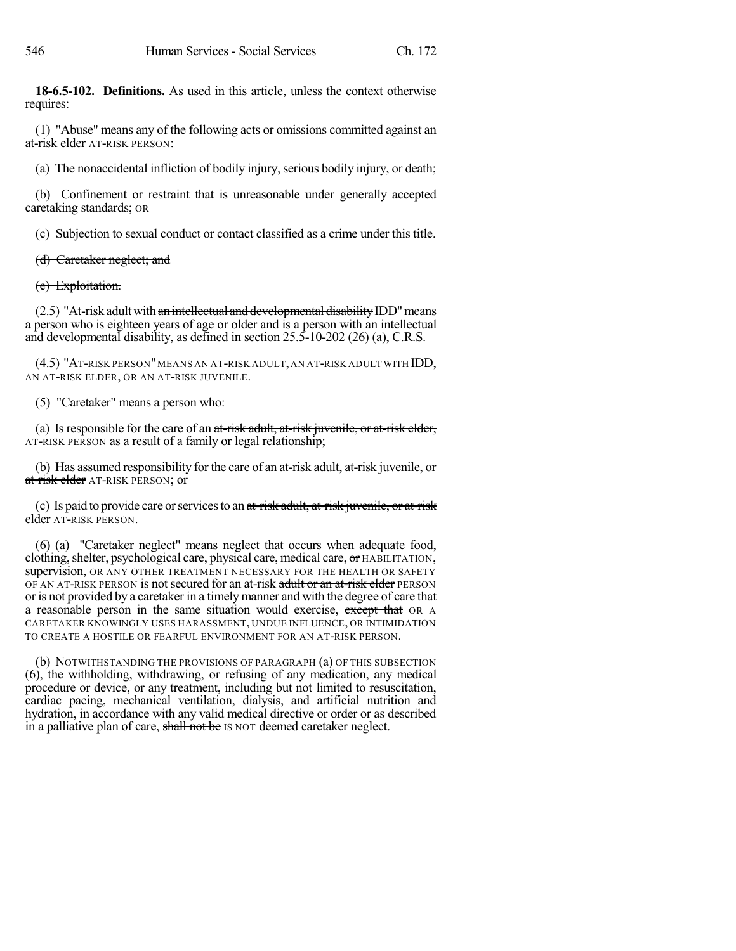**18-6.5-102. Definitions.** As used in this article, unless the context otherwise requires:

(1) "Abuse" means any of the following acts or omissions committed against an at-risk elder AT-RISK PERSON:

(a) The nonaccidental infliction of bodily injury, serious bodily injury, or death;

(b) Confinement or restraint that is unreasonable under generally accepted caretaking standards; OR

(c) Subjection to sexual conduct or contact classified as a crime under this title.

## (d) Caretaker neglect; and

## (e) Exploitation.

 $(2.5)$  "At-risk adult with an intellectual and developmental disability IDD" means a person who is eighteen years of age or older and is a person with an intellectual and developmental disability, as defined in section 25.5-10-202 (26) (a), C.R.S.

(4.5) "AT-RISK PERSON"MEANS AN AT-RISK ADULT,AN AT-RISK ADULT WITH IDD, AN AT-RISK ELDER, OR AN AT-RISK JUVENILE.

(5) "Caretaker" means a person who:

(a) Is responsible for the care of an at-risk adult, at-risk juvenile, or at-risk elder, AT-RISK PERSON as a result of a family or legal relationship;

(b) Has assumed responsibility for the care of an at-risk adult, at-risk juvenile, or at-risk elder AT-RISK PERSON; or

(c) Is paid to provide care or services to an  $at$ -risk adult, at-risk juvenile, or at-risk elder AT-RISK PERSON.

(6) (a) "Caretaker neglect" means neglect that occurs when adequate food, clothing, shelter, psychological care, physical care, medical care, or HABILITATION, supervision, OR ANY OTHER TREATMENT NECESSARY FOR THE HEALTH OR SAFETY OF AN AT-RISK PERSON is not secured for an at-risk adult or an at-risk elder PERSON or is not provided by a caretaker in a timelymanner and with the degree of care that a reasonable person in the same situation would exercise, except that OR A CARETAKER KNOWINGLY USES HARASSMENT, UNDUE INFLUENCE, OR INTIMIDATION TO CREATE A HOSTILE OR FEARFUL ENVIRONMENT FOR AN AT-RISK PERSON.

(b) NOTWITHSTANDING THE PROVISIONS OF PARAGRAPH (a) OF THIS SUBSECTION (6), the withholding, withdrawing, or refusing of any medication, any medical procedure or device, or any treatment, including but not limited to resuscitation, cardiac pacing, mechanical ventilation, dialysis, and artificial nutrition and hydration, in accordance with any valid medical directive or order or as described in a palliative plan of care, shall not be IS NOT deemed caretaker neglect.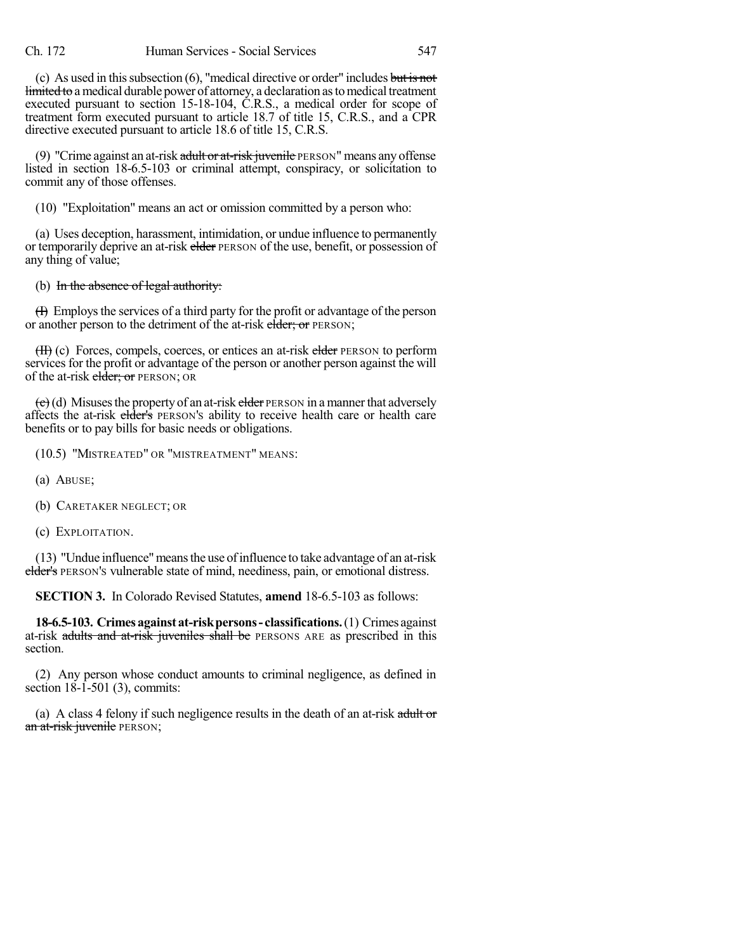(c) As used in this subsection  $(6)$ , "medical directive or order" includes but is not limited to a medical durable power of attorney, a declaration as to medical treatment executed pursuant to section 15-18-104, C.R.S., a medical order for scope of treatment form executed pursuant to article 18.7 of title 15, C.R.S., and a CPR directive executed pursuant to article 18.6 of title 15, C.R.S.

(9) "Crime against an at-risk  $\frac{1}{\alpha}$  at-risk juvenile PERSON" means any offense listed in section 18-6.5-103 or criminal attempt, conspiracy, or solicitation to commit any of those offenses.

(10) "Exploitation" means an act or omission committed by a person who:

(a) Uses deception, harassment, intimidation, or undue influence to permanently or temporarily deprive an at-risk elder PERSON of the use, benefit, or possession of any thing of value;

#### (b) In the absence of legal authority:

(I) Employsthe services of a third party for the profit or advantage of the person or another person to the detriment of the at-risk elder; or PERSON;

(H) (c) Forces, compels, coerces, or entices an at-risk elder PERSON to perform services for the profit or advantage of the person or another person against the will of the at-risk elder; or PERSON; OR

 $\left(\frac{c}{c}\right)$ (d) Misuses the property of an at-risk elder PERSON in a manner that adversely affects the at-risk elder's PERSON's ability to receive health care or health care benefits or to pay bills for basic needs or obligations.

(10.5) "MISTREATED" OR "MISTREATMENT" MEANS:

- (a) ABUSE;
- (b) CARETAKER NEGLECT; OR
- (c) EXPLOITATION.

(13) "Undue influence"meansthe use ofinfluence to take advantage of an at-risk elder's PERSON'S vulnerable state of mind, neediness, pain, or emotional distress.

**SECTION 3.** In Colorado Revised Statutes, **amend** 18-6.5-103 as follows:

**18-6.5-103. Crimesagainst at-riskpersons- classifications.**(1) Crimes against at-risk adults and at-risk juveniles shall be PERSONS ARE as prescribed in this section.

(2) Any person whose conduct amounts to criminal negligence, as defined in section 18-1-501 (3), commits:

(a) A class 4 felony if such negligence results in the death of an at-risk adult or an at-risk juvenile PERSON;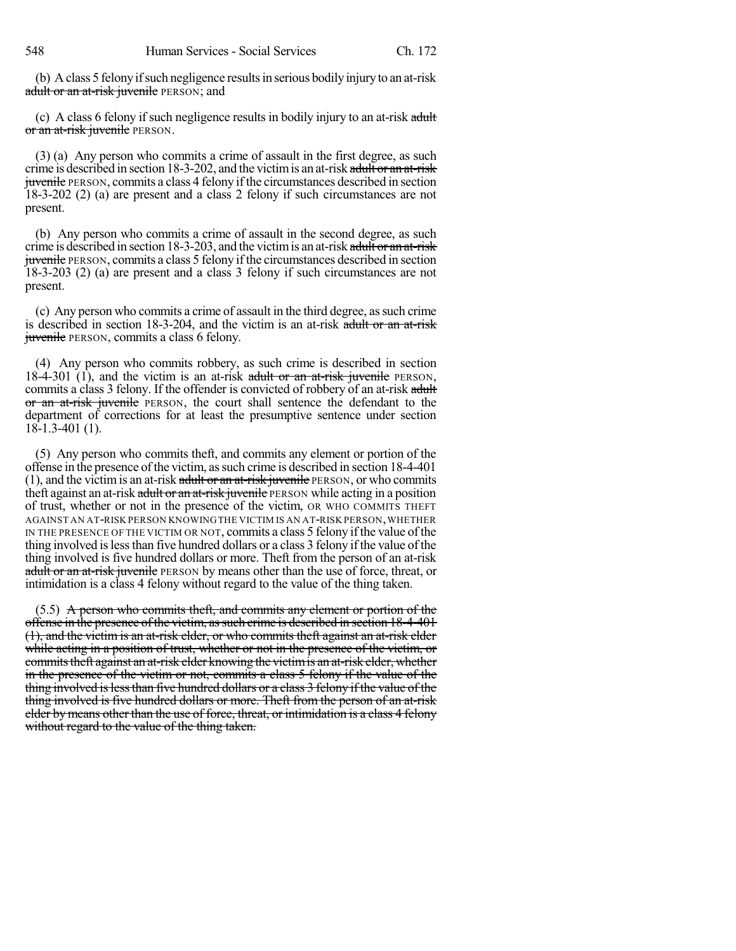(b) Aclass 5 felonyifsuch negligence resultsin serious bodilyinjuryto an at-risk adult or an at-risk juvenile PERSON; and

(c) A class 6 felony if such negligence results in bodily injury to an at-risk adult or an at-risk juvenile PERSON.

(3) (a) Any person who commits a crime of assault in the first degree, as such crime is described in section 18-3-202, and the victim is an at-risk adult or an at-risk juvenile PERSON, commits a class 4 felony if the circumstances described in section 18-3-202 (2) (a) are present and a class 2 felony if such circumstances are not present.

(b) Any person who commits a crime of assault in the second degree, as such crime is described in section  $18-3-203$ , and the victim is an at-risk adult or an at-risk juvenile PERSON, commits a class 5 felony if the circumstances described in section 18-3-203 (2) (a) are present and a class 3 felony if such circumstances are not present.

(c) Any person who commits a crime of assault in the third degree, assuch crime is described in section 18-3-204, and the victim is an at-risk adult or an at-risk juvenile PERSON, commits a class 6 felony.

(4) Any person who commits robbery, as such crime is described in section 18-4-301 (1), and the victim is an at-risk adult or an at-risk juvenile PERSON, commits a class 3 felony. If the offender is convicted of robbery of an at-risk adult or an at-risk juvenile PERSON, the court shall sentence the defendant to the department of corrections for at least the presumptive sentence under section 18-1.3-401 (1).

(5) Any person who commits theft, and commits any element or portion of the offense in the presence of the victim, as such crime is described in section 18-4-401  $(1)$ , and the victim is an at-risk adult or an at-risk juvenile PERSON, or who commits theft against an at-risk adult or an at-risk juvenile PERSON while acting in a position of trust, whether or not in the presence of the victim, OR WHO COMMITS THEFT AGAINST AN AT-RISK PERSON KNOWINGTHE VICTIM IS AN AT-RISK PERSON,WHETHER IN THE PRESENCE OF THE VICTIM OR NOT, commits a class 5 felony if the value of the thing involved islessthan five hundred dollars or a class 3 felony if the value of the thing involved is five hundred dollars or more. Theft from the person of an at-risk adult or an at-risk juvenile PERSON by means other than the use of force, threat, or intimidation is a class 4 felony without regard to the value of the thing taken.

 $(5.5)$  A person who commits theft, and commits any element or portion of the offense in the presence ofthe victim, assuch crime is described in section 18-4-401 (1), and the victim is an at-risk elder, or who commits theft against an at-risk elder while acting in a position of trust, whether or not in the presence of the victim, or commits theft against an at-risk elder knowing the victim is an at-risk elder, whether in the presence of the victim or not, commits a class 5 felony if the value of the thing involved is less than five hundred dollars or a class 3 felony if the value of the thing involved is five hundred dollars or more. Theft from the person of an at-risk elder by means other than the use of force, threat, or intimidation is a class 4 felony without regard to the value of the thing taken.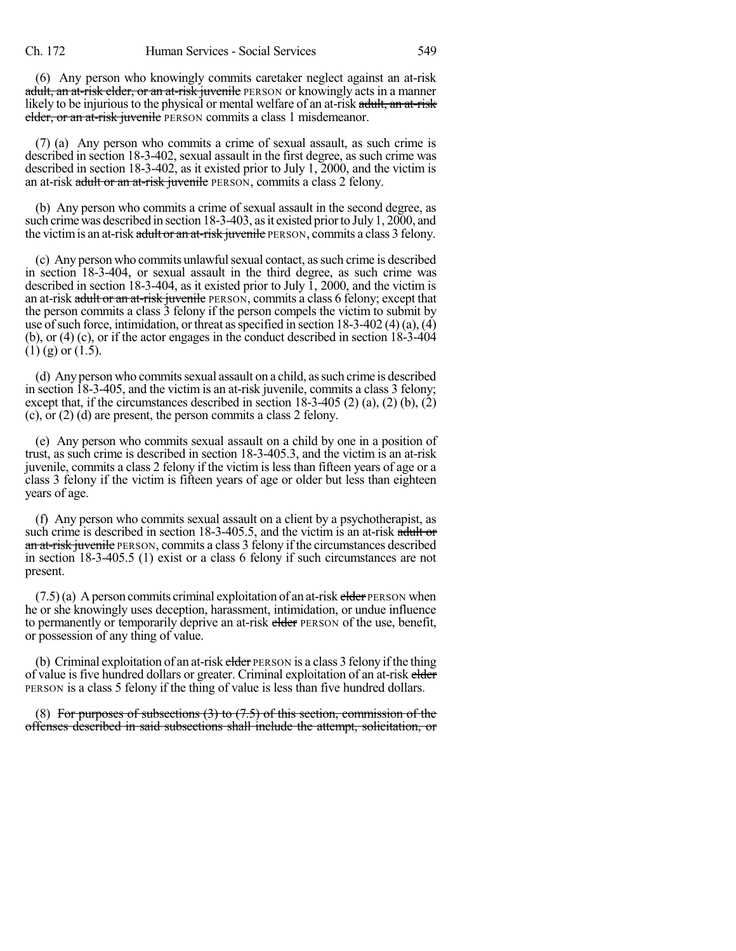(6) Any person who knowingly commits caretaker neglect against an at-risk adult, an at-risk elder, or an at-risk juvenile PERSON or knowingly acts in a manner likely to be injurious to the physical or mental welfare of an at-risk adult, an at-risk elder, or an at-risk juvenile PERSON commits a class 1 misdemeanor.

(7) (a) Any person who commits a crime of sexual assault, as such crime is described in section 18-3-402, sexual assault in the first degree, as such crime was described in section 18-3-402, as it existed prior to July 1, 2000, and the victim is an at-risk adult or an at-risk juvenile PERSON, commits a class 2 felony.

(b) Any person who commits a crime of sexual assault in the second degree, as such crime was described in section 18-3-403, as it existed prior to July 1, 2000, and the victim is an at-risk adult or an at-risk juvenile PERSON, commits a class 3 felony.

(c) Any person who commits unlawfulsexual contact, assuch crime is described in section 18-3-404, or sexual assault in the third degree, as such crime was described in section 18-3-404, as it existed prior to July  $\overline{1}$ , 2000, and the victim is an at-risk adult or an at-risk juvenile PERSON, commits a class 6 felony; except that the person commits a class 3 felony if the person compels the victim to submit by use of such force, intimidation, or threat as specified in section  $18-3-402(4)(a)$ ,  $\overline{4}$ (b), or (4) (c), or if the actor engages in the conduct described in section 18-3-404  $(1)$  (g) or  $(1.5)$ .

(d) Any person who commitssexual assault on a child, assuch crime is described in section 18-3-405, and the victim is an at-risk juvenile, commits a class 3 felony; except that, if the circumstances described in section 18-3-405 (2) (a), (2) (b), (2) (c), or (2) (d) are present, the person commits a class 2 felony.

(e) Any person who commits sexual assault on a child by one in a position of trust, as such crime is described in section 18-3-405.3, and the victim is an at-risk juvenile, commits a class 2 felony if the victim is less than fifteen years of age or a class 3 felony if the victim is fifteen years of age or older but less than eighteen years of age.

(f) Any person who commits sexual assault on a client by a psychotherapist, as such crime is described in section 18-3-405.5, and the victim is an at-risk adult or an at-risk juvenile PERSON, commits a class 3 felony if the circumstances described in section 18-3-405.5 (1) exist or a class 6 felony if such circumstances are not present.

 $(7.5)(a)$  A person commits criminal exploitation of an at-risk elder PERSON when he or she knowingly uses deception, harassment, intimidation, or undue influence to permanently or temporarily deprive an at-risk elder PERSON of the use, benefit, or possession of any thing of value.

(b) Criminal exploitation of an at-risk elder PERSON is a class 3 felony if the thing of value is five hundred dollars or greater. Criminal exploitation of an at-risk elder PERSON is a class 5 felony if the thing of value is less than five hundred dollars.

(8) For purposes of subsections  $(3)$  to  $(7.5)$  of this section, commission of the offenses described in said subsections shall include the attempt, solicitation, or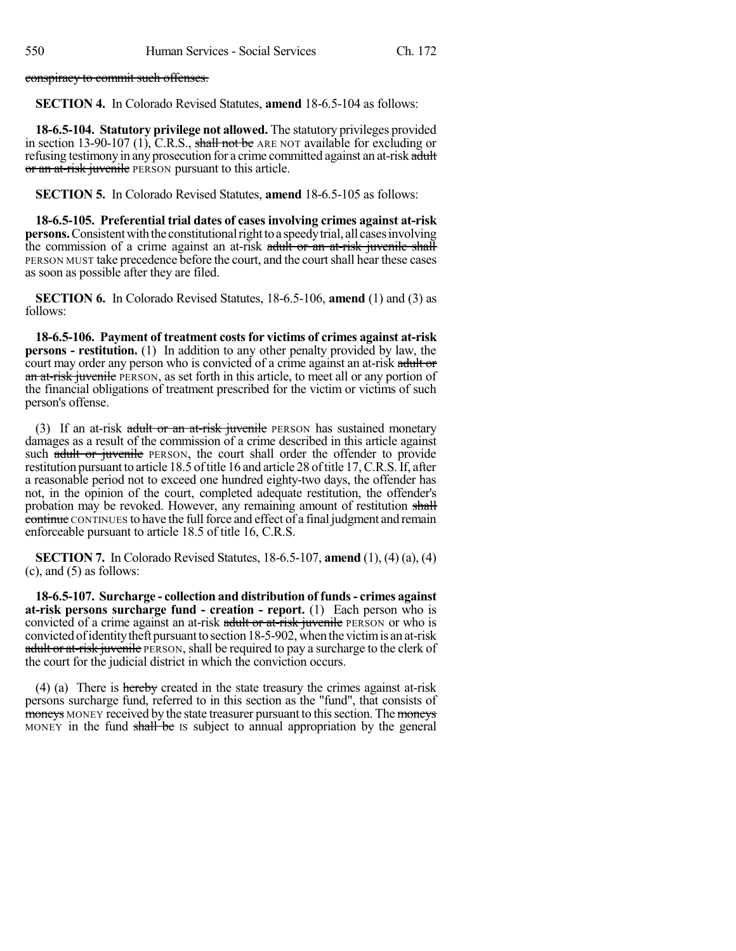conspiracy to commit such offenses.

**SECTION 4.** In Colorado Revised Statutes, **amend** 18-6.5-104 as follows:

**18-6.5-104. Statutory privilege not allowed.** The statutory privileges provided in section 13-90-107 (1), C.R.S., shall not be ARE NOT available for excluding or refusing testimony in any prosecution for a crime committed against an at-risk adult or an at-risk juvenile PERSON pursuant to this article.

**SECTION 5.** In Colorado Revised Statutes, **amend** 18-6.5-105 as follows:

**18-6.5-105. Preferential trial dates of cases involving crimes against at-risk persons.** Consistent with the constitutional right to a speedy trial, all cases involving the commission of a crime against an at-risk adult or an at-risk juvenile shall PERSON MUST take precedence before the court, and the court shall hear these cases as soon as possible after they are filed.

**SECTION 6.** In Colorado Revised Statutes, 18-6.5-106, **amend** (1) and (3) as follows:

**18-6.5-106. Payment of treatment costsfor victims of crimes against at-risk persons - restitution.** (1) In addition to any other penalty provided by law, the court may order any person who is convicted of a crime against an at-risk adult or an at-risk juvenile PERSON, as set forth in this article, to meet all or any portion of the financial obligations of treatment prescribed for the victim or victims of such person's offense.

(3) If an at-risk adult or an at-risk juvenile PERSON has sustained monetary damages as a result of the commission of a crime described in this article against such adult or juvenile PERSON, the court shall order the offender to provide restitution pursuant to article 18.5 of title 16 and article 28 of title 17, C.R.S. If, after a reasonable period not to exceed one hundred eighty-two days, the offender has not, in the opinion of the court, completed adequate restitution, the offender's probation may be revoked. However, any remaining amount of restitution shall continue CONTINUES to have the full force and effect of a final judgment and remain enforceable pursuant to article 18.5 of title 16, C.R.S.

**SECTION 7.** In Colorado Revised Statutes, 18-6.5-107, **amend** (1), (4) (a), (4)  $(c)$ , and  $(5)$  as follows:

**18-6.5-107. Surcharge - collection and distribution of funds- crimes against at-risk persons surcharge fund - creation - report.** (1) Each person who is convicted of a crime against an at-risk adult or at-risk juvenile PERSON or who is convictedofidentitytheft pursuantto section18-5-902,when the victimis an at-risk adult or at-risk juvenile PERSON, shall be required to pay a surcharge to the clerk of the court for the judicial district in which the conviction occurs.

(4) (a) There is hereby created in the state treasury the crimes against at-risk persons surcharge fund, referred to in this section as the "fund", that consists of moneys MONEY received by the state treasurer pursuant to this section. The moneys MONEY in the fund shall be IS subject to annual appropriation by the general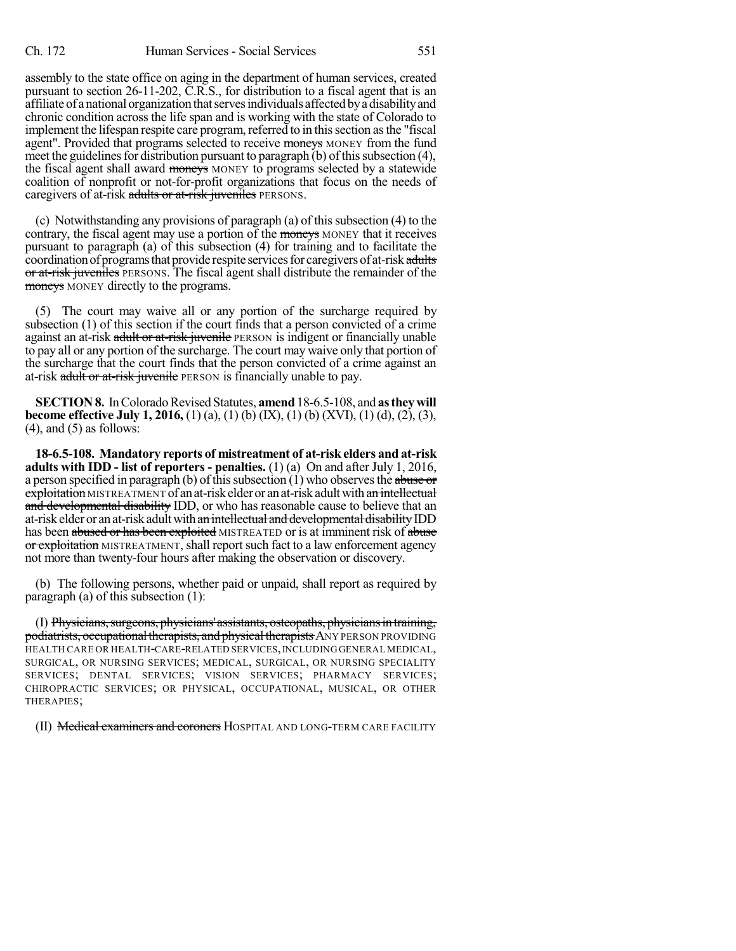assembly to the state office on aging in the department of human services, created pursuant to section 26-11-202, C.R.S., for distribution to a fiscal agent that is an affiliate of a national organization that serves individuals affected by a disability and chronic condition across the life span and is working with the state of Colorado to implement the lifespan respite care program, referred to in this section as the "fiscal agent". Provided that programs selected to receive moneys MONEY from the fund meet the guidelines for distribution pursuant to paragraph (b) of this subsection  $(4)$ , the fiscal agent shall award moneys MONEY to programs selected by a statewide coalition of nonprofit or not-for-profit organizations that focus on the needs of caregivers of at-risk adults or at-risk juveniles PERSONS.

(c) Notwithstanding any provisions of paragraph (a) of thissubsection (4) to the contrary, the fiscal agent may use a portion of the moneys MONEY that it receives pursuant to paragraph (a) of this subsection (4) for training and to facilitate the coordination of programs that provide respite services for caregivers of at-risk adults or at-risk juveniles PERSONS. The fiscal agent shall distribute the remainder of the moneys MONEY directly to the programs.

(5) The court may waive all or any portion of the surcharge required by subsection (1) of this section if the court finds that a person convicted of a crime against an at-risk adult or at-risk juvenile PERSON is indigent or financially unable to pay all or any portion of the surcharge. The court may waive only that portion of the surcharge that the court finds that the person convicted of a crime against an at-risk adult or at-risk juvenile PERSON is financially unable to pay.

**SECTION 8.** In Colorado Revised Statutes, **amend** 18-6.5-108, and **as they will become effective July 1, 2016,** (1) (a), (1) (b) (IX), (1) (b) (XVI), (1) (d), (2), (3),  $(4)$ , and  $(5)$  as follows:

**18-6.5-108. Mandatory reports of mistreatment of at-risk elders and at-risk adults with IDD - list of reporters - penalties.** (1) (a) On and after July 1, 2016, a person specified in paragraph (b) of this subsection (1) who observes the abuse or exploitation MISTREATMENT of an at-risk elder or an at-risk adult with an intellectual and developmental disability IDD, or who has reasonable cause to believe that an at-risk elder or an at-risk adult with an intellectual and developmental disability IDD has been abused or has been exploited MISTREATED or is at imminent risk of abuse or exploitation MISTREATMENT, shall report such fact to a law enforcement agency not more than twenty-four hours after making the observation or discovery.

(b) The following persons, whether paid or unpaid, shall report as required by paragraph (a) of this subsection (1):

(I) Physicians, surgeons, physicians' assistants, osteopaths, physicians in training, podiatrists, occupational therapists, and physical therapists ANY PERSON PROVIDING HEALTH CARE OR HEALTH-CARE-RELATED SERVICES,INCLUDING GENERAL MEDICAL, SURGICAL, OR NURSING SERVICES; MEDICAL, SURGICAL, OR NURSING SPECIALITY SERVICES; DENTAL SERVICES; VISION SERVICES; PHARMACY SERVICES; CHIROPRACTIC SERVICES; OR PHYSICAL, OCCUPATIONAL, MUSICAL, OR OTHER THERAPIES;

(II) Medical examiners and coroners HOSPITAL AND LONG-TERM CARE FACILITY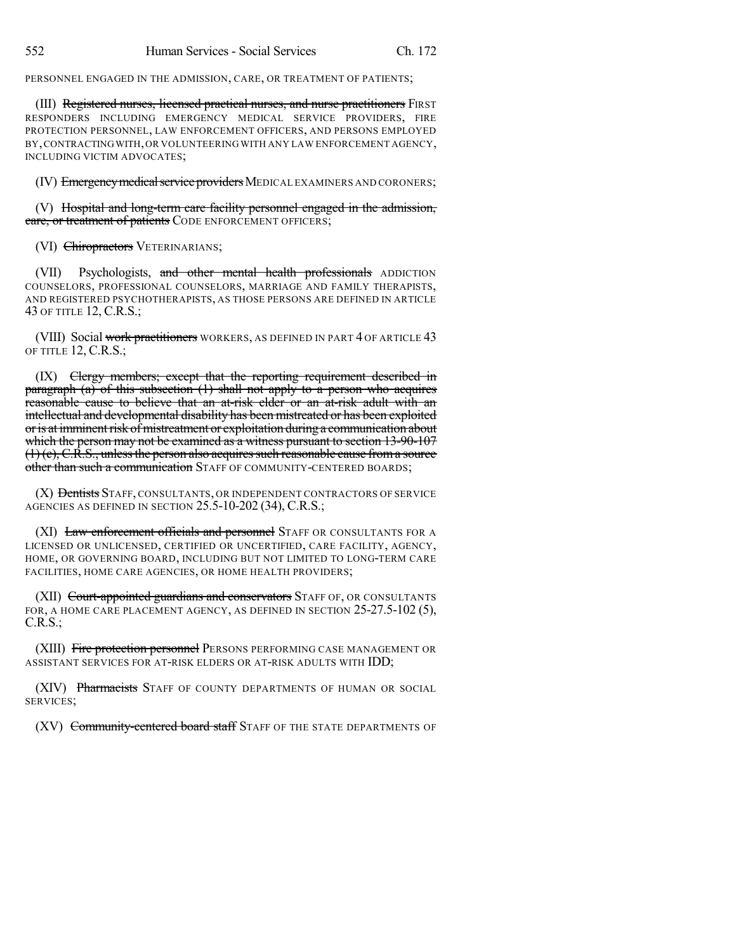PERSONNEL ENGAGED IN THE ADMISSION, CARE, OR TREATMENT OF PATIENTS;

(III) Registered nurses, licensed practical nurses, and nurse practitioners FIRST RESPONDERS INCLUDING EMERGENCY MEDICAL SERVICE PROVIDERS, FIRE PROTECTION PERSONNEL, LAW ENFORCEMENT OFFICERS, AND PERSONS EMPLOYED BY,CONTRACTINGWITH,OR VOLUNTEERING WITH ANY LAW ENFORCEMENT AGENCY, INCLUDING VICTIM ADVOCATES;

(IV) Emergency medical service providers MEDICAL EXAMINERS AND CORONERS;

(V) Hospital and long-term care facility personnel engaged in the admission, care, or treatment of patients CODE ENFORCEMENT OFFICERS;

(VI) Chiropractors VETERINARIANS;

(VII) Psychologists, and other mental health professionals ADDICTION COUNSELORS, PROFESSIONAL COUNSELORS, MARRIAGE AND FAMILY THERAPISTS, AND REGISTERED PSYCHOTHERAPISTS, AS THOSE PERSONS ARE DEFINED IN ARTICLE 43 OF TITLE 12, C.R.S.;

(VIII) Social work practitioners WORKERS, AS DEFINED IN PART 4 OF ARTICLE 43 OF TITLE 12, C.R.S.;

(IX) Clergy members; except that the reporting requirement described in paragraph (a) of this subsection (1) shall not apply to a person who acquires reasonable cause to believe that an at-risk elder or an at-risk adult with an intellectual and developmental disability has been mistreated or has been exploited or is at imminent risk of mistreatment or exploitation during a communication about which the person may not be examined as a witness pursuant to section 13-90-107  $(1)$  (c), C.R.S., unless the person also acquires such reasonable cause from a source other than such a communication STAFF OF COMMUNITY-CENTERED BOARDS;

(X) <del>Dentists</del> Staff, consultants, or independent contractors of service AGENCIES AS DEFINED IN SECTION 25.5-10-202 (34), C.R.S.;

(XI) Law enforcement officials and personnel STAFF OR CONSULTANTS FOR A LICENSED OR UNLICENSED, CERTIFIED OR UNCERTIFIED, CARE FACILITY, AGENCY, HOME, OR GOVERNING BOARD, INCLUDING BUT NOT LIMITED TO LONG-TERM CARE FACILITIES, HOME CARE AGENCIES, OR HOME HEALTH PROVIDERS;

(XII) Court-appointed guardians and conservators STAFF OF, OR CONSULTANTS FOR, A HOME CARE PLACEMENT AGENCY, AS DEFINED IN SECTION 25-27.5-102 (5), C.R.S.;

(XIII) Fire protection personnel PERSONS PERFORMING CASE MANAGEMENT OR ASSISTANT SERVICES FOR AT-RISK ELDERS OR AT-RISK ADULTS WITH IDD;

(XIV) Pharmacists STAFF OF COUNTY DEPARTMENTS OF HUMAN OR SOCIAL SERVICES;

(XV) Community-centered board staff STAFF OF THE STATE DEPARTMENTS OF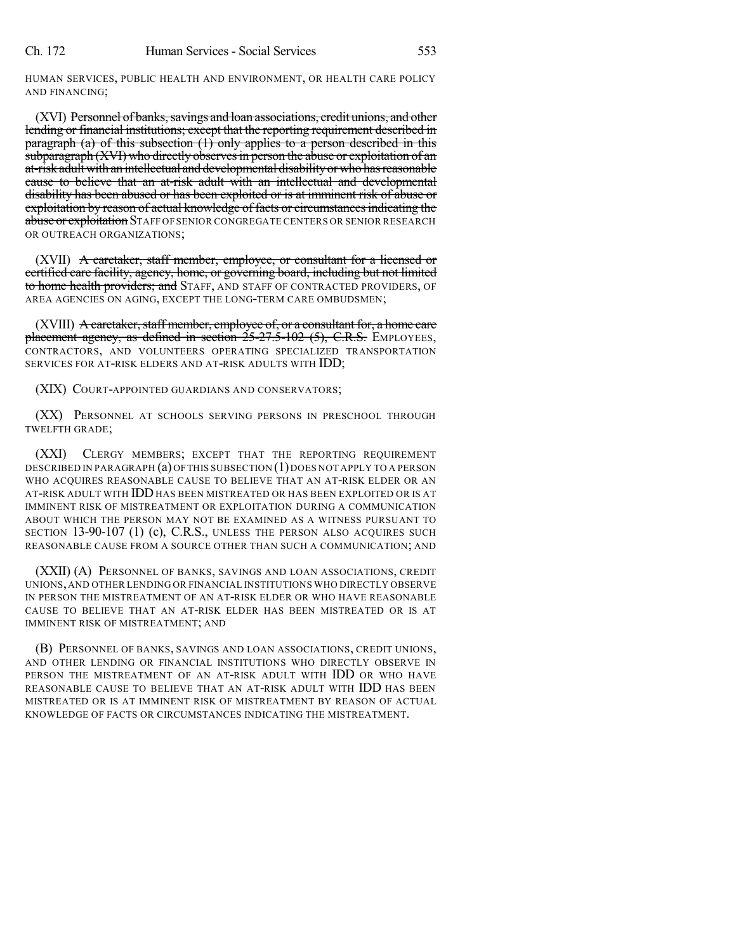HUMAN SERVICES, PUBLIC HEALTH AND ENVIRONMENT, OR HEALTH CARE POLICY AND FINANCING;

(XVI) Personnel of banks, savings and loan associations, credit unions, and other lending or financial institutions; except that the reporting requirement described in paragraph (a) of this subsection  $(1)$  only applies to a person described in this subparagraph (XVI) who directly observes in person the abuse or exploitation of an at-risk adult with an intellectual and developmental disability or who has reasonable cause to believe that an at-risk adult with an intellectual and developmental disability has been abused or has been exploited or is at imminent risk of abuse or exploitation by reason of actual knowledge of facts or circumstances indicating the abuse or exploitation STAFF OF SENIOR CONGREGATE CENTERS OR SENIOR RESEARCH OR OUTREACH ORGANIZATIONS;

(XVII) A caretaker, staff member, employee, or consultant for a licensed or certified care facility, agency, home, or governing board, including but not limited to home health providers; and STAFF, AND STAFF OF CONTRACTED PROVIDERS, OF AREA AGENCIES ON AGING, EXCEPT THE LONG-TERM CARE OMBUDSMEN;

(XVIII) A caretaker, staff member, employee of, or a consultant for, a home care placement agency, as defined in section 25-27.5-102 (5), C.R.S. EMPLOYEES, CONTRACTORS, AND VOLUNTEERS OPERATING SPECIALIZED TRANSPORTATION SERVICES FOR AT-RISK ELDERS AND AT-RISK ADULTS WITH IDD;

(XIX) COURT-APPOINTED GUARDIANS AND CONSERVATORS;

(XX) PERSONNEL AT SCHOOLS SERVING PERSONS IN PRESCHOOL THROUGH TWELFTH GRADE;

(XXI) CLERGY MEMBERS; EXCEPT THAT THE REPORTING REQUIREMENT DESCRIBED IN PARAGRAPH (a) OFTHIS SUBSECTION (1)DOES NOT APPLY TO A PERSON WHO ACQUIRES REASONABLE CAUSE TO BELIEVE THAT AN AT-RISK ELDER OR AN AT-RISK ADULT WITH IDDHAS BEEN MISTREATED OR HAS BEEN EXPLOITED OR IS AT IMMINENT RISK OF MISTREATMENT OR EXPLOITATION DURING A COMMUNICATION ABOUT WHICH THE PERSON MAY NOT BE EXAMINED AS A WITNESS PURSUANT TO SECTION 13-90-107 (1) (c), C.R.S., UNLESS THE PERSON ALSO ACQUIRES SUCH REASONABLE CAUSE FROM A SOURCE OTHER THAN SUCH A COMMUNICATION; AND

(XXII) (A) PERSONNEL OF BANKS, SAVINGS AND LOAN ASSOCIATIONS, CREDIT UNIONS,AND OTHER LENDING OR FINANCIAL INSTITUTIONS WHO DIRECTLY OBSERVE IN PERSON THE MISTREATMENT OF AN AT-RISK ELDER OR WHO HAVE REASONABLE CAUSE TO BELIEVE THAT AN AT-RISK ELDER HAS BEEN MISTREATED OR IS AT IMMINENT RISK OF MISTREATMENT; AND

(B) PERSONNEL OF BANKS, SAVINGS AND LOAN ASSOCIATIONS, CREDIT UNIONS, AND OTHER LENDING OR FINANCIAL INSTITUTIONS WHO DIRECTLY OBSERVE IN PERSON THE MISTREATMENT OF AN AT-RISK ADULT WITH IDD OR WHO HAVE REASONABLE CAUSE TO BELIEVE THAT AN AT-RISK ADULT WITH IDD HAS BEEN MISTREATED OR IS AT IMMINENT RISK OF MISTREATMENT BY REASON OF ACTUAL KNOWLEDGE OF FACTS OR CIRCUMSTANCES INDICATING THE MISTREATMENT.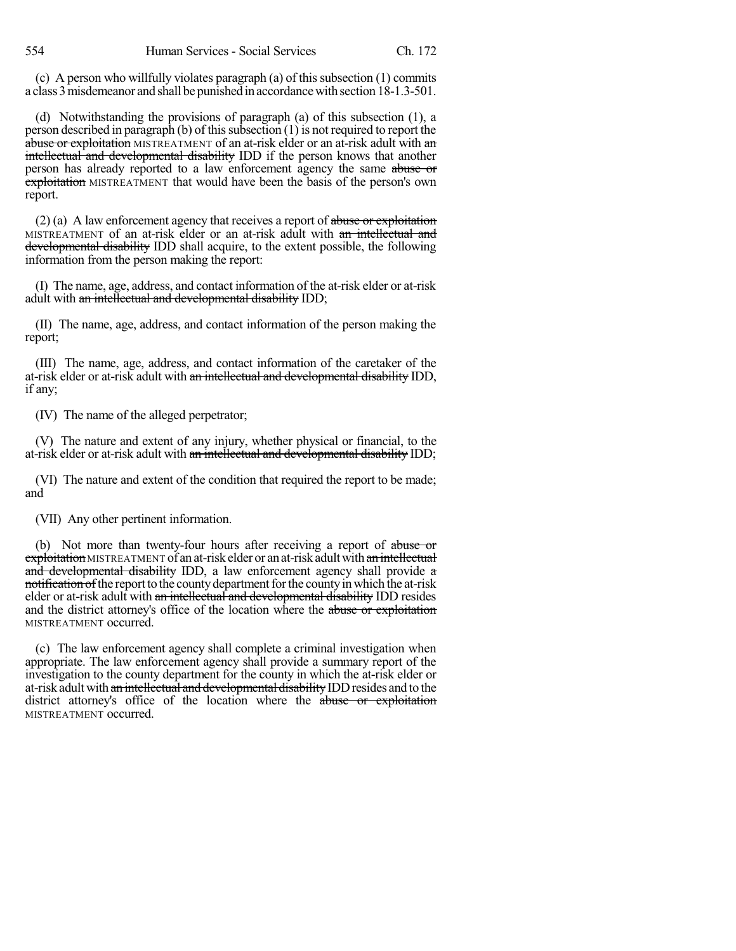(c) A person who willfully violates paragraph (a) of this subsection  $(1)$  commits a class 3misdemeanor and shall be punishedin accordancewith section 18-1.3-501.

(d) Notwithstanding the provisions of paragraph (a) of this subsection (1), a person described in paragraph  $(b)$  of this subsection  $(1)$  is not required to report the abuse or exploitation MISTREATMENT of an at-risk elder or an at-risk adult with an intellectual and developmental disability IDD if the person knows that another person has already reported to a law enforcement agency the same abuse or exploitation MISTREATMENT that would have been the basis of the person's own report.

 $(2)$  (a) A law enforcement agency that receives a report of abuse or exploitation MISTREATMENT of an at-risk elder or an at-risk adult with an intellectual and developmental disability IDD shall acquire, to the extent possible, the following information from the person making the report:

(I) The name, age, address, and contact information of the at-risk elder or at-risk adult with an intellectual and developmental disability IDD;

(II) The name, age, address, and contact information of the person making the report;

(III) The name, age, address, and contact information of the caretaker of the at-risk elder or at-risk adult with an intellectual and developmental disability IDD, if any;

(IV) The name of the alleged perpetrator;

(V) The nature and extent of any injury, whether physical or financial, to the at-risk elder or at-risk adult with an intellectual and developmental disability IDD;

(VI) The nature and extent of the condition that required the report to be made; and

(VII) Any other pertinent information.

(b) Not more than twenty-four hours after receiving a report of abuse or exploitation MISTREATMENT of an at-risk elder or an at-risk adult with an intellectual and developmental disability IDD, a law enforcement agency shall provide a notification of the report to the county department for the county in which the at-risk elder or at-risk adult with an intellectual and developmental disability IDD resides and the district attorney's office of the location where the abuse or exploitation MISTREATMENT occurred.

(c) The law enforcement agency shall complete a criminal investigation when appropriate. The law enforcement agency shall provide a summary report of the investigation to the county department for the county in which the at-risk elder or at-risk adult with an intellectual and developmental disability IDD resides and to the district attorney's office of the location where the abuse or exploitation MISTREATMENT occurred.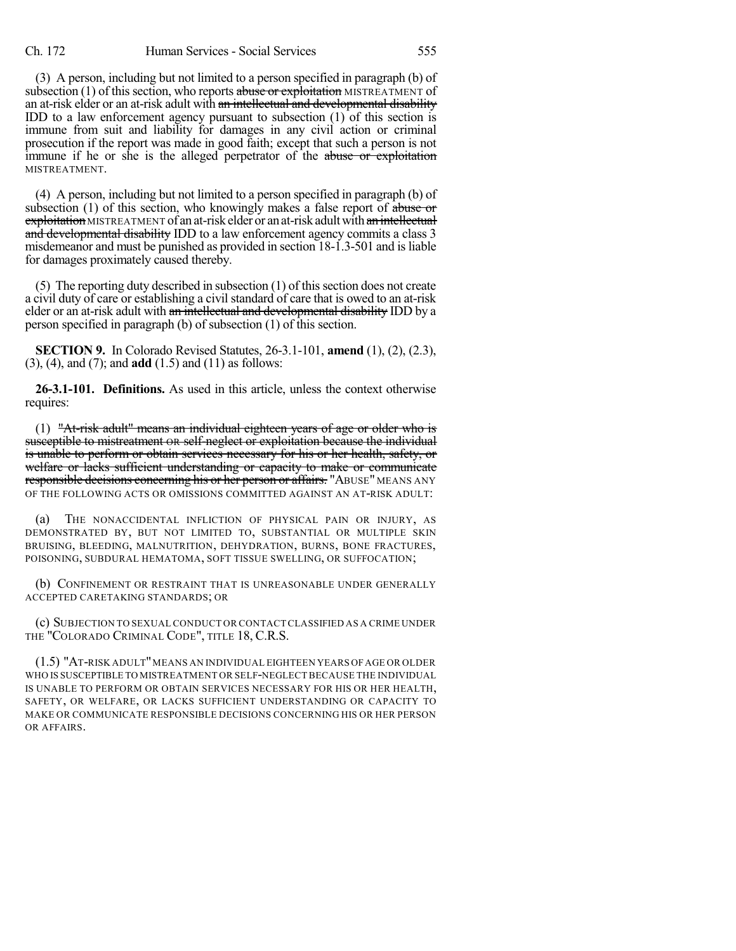(3) A person, including but not limited to a person specified in paragraph (b) of subsection  $(1)$  of this section, who reports abuse or exploitation MISTREATMENT of an at-risk elder or an at-risk adult with an intellectual and developmental disability IDD to a law enforcement agency pursuant to subsection (1) of this section is immune from suit and liability for damages in any civil action or criminal prosecution if the report was made in good faith; except that such a person is not immune if he or she is the alleged perpetrator of the abuse or exploitation MISTREATMENT.

(4) A person, including but not limited to a person specified in paragraph (b) of subsection  $(1)$  of this section, who knowingly makes a false report of abuse or exploitation MISTREATMENT of an at-risk elder or an at-risk adult with an intellectual and developmental disability IDD to a law enforcement agency commits a class 3 misdemeanor and must be punished as provided in section 18-1.3-501 and isliable for damages proximately caused thereby.

 $(5)$  The reporting duty described in subsection  $(1)$  of this section does not create a civil duty of care or establishing a civil standard of care that is owed to an at-risk elder or an at-risk adult with an intellectual and developmental disability IDD by a person specified in paragraph (b) of subsection (1) of this section.

**SECTION 9.** In Colorado Revised Statutes, 26-3.1-101, **amend** (1), (2), (2.3), (3), (4), and (7); and **add** (1.5) and (11) as follows:

**26-3.1-101. Definitions.** As used in this article, unless the context otherwise requires:

(1) "At-risk adult" means an individual eighteen years of age or older who is susceptible to mistreatment OR self-neglect or exploitation because the individual is unable to perform or obtain services necessary for his or her health, safety, or welfare or lacks sufficient understanding or capacity to make or communicate responsible decisions concerning his or her person or affairs. "ABUSE" MEANS ANY OF THE FOLLOWING ACTS OR OMISSIONS COMMITTED AGAINST AN AT-RISK ADULT:

(a) THE NONACCIDENTAL INFLICTION OF PHYSICAL PAIN OR INJURY, AS DEMONSTRATED BY, BUT NOT LIMITED TO, SUBSTANTIAL OR MULTIPLE SKIN BRUISING, BLEEDING, MALNUTRITION, DEHYDRATION, BURNS, BONE FRACTURES, POISONING, SUBDURAL HEMATOMA, SOFT TISSUE SWELLING, OR SUFFOCATION;

(b) CONFINEMENT OR RESTRAINT THAT IS UNREASONABLE UNDER GENERALLY ACCEPTED CARETAKING STANDARDS; OR

(c) SUBJECTION TO SEXUAL CONDUCT OR CONTACTCLASSIFIED AS A CRIME UNDER THE "COLORADO CRIMINAL CODE", TITLE 18, C.R.S.

(1.5) "AT-RISK ADULT"MEANS AN INDIVIDUAL EIGHTEEN YEARS OFAGE OR OLDER WHO IS SUSCEPTIBLE TO MISTREATMENT OR SELF-NEGLECT BECAUSE THE INDIVIDUAL IS UNABLE TO PERFORM OR OBTAIN SERVICES NECESSARY FOR HIS OR HER HEALTH, SAFETY, OR WELFARE, OR LACKS SUFFICIENT UNDERSTANDING OR CAPACITY TO MAKE OR COMMUNICATE RESPONSIBLE DECISIONS CONCERNING HIS OR HER PERSON OR AFFAIRS.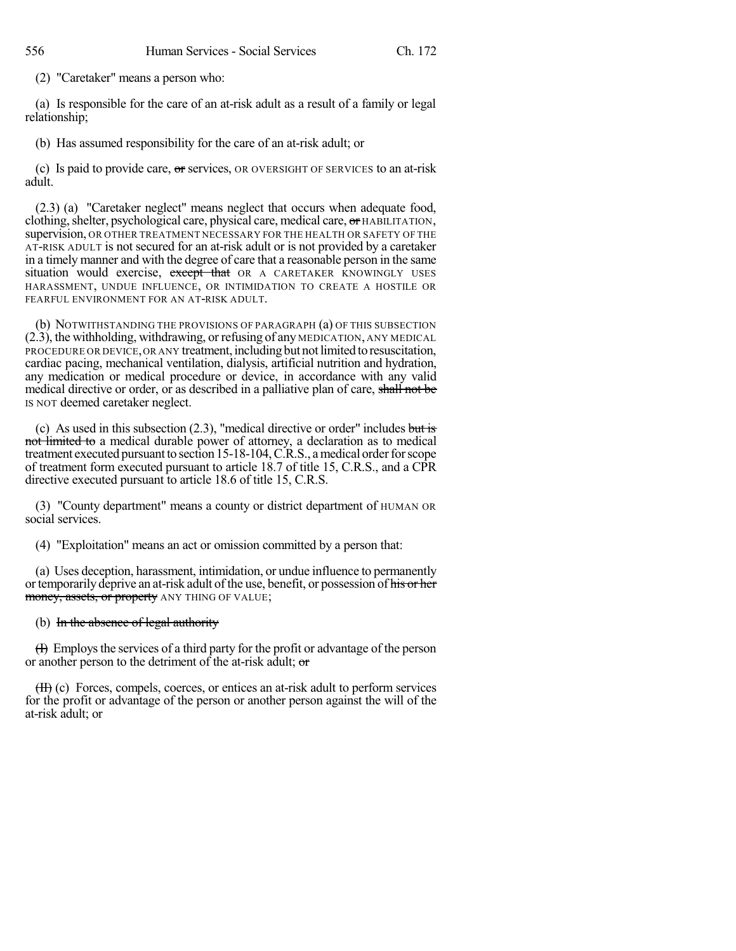(2) "Caretaker" means a person who:

(a) Is responsible for the care of an at-risk adult as a result of a family or legal relationship;

(b) Has assumed responsibility for the care of an at-risk adult; or

(c) Is paid to provide care,  $\sigma$  services, OR OVERSIGHT OF SERVICES to an at-risk adult.

(2.3) (a) "Caretaker neglect" means neglect that occurs when adequate food, clothing, shelter, psychological care, physical care, medical care, or HABILITATION, supervision, OR OTHER TREATMENT NECESSARY FOR THE HEALTH OR SAFETY OF THE AT-RISK ADULT is not secured for an at-risk adult or is not provided by a caretaker in a timely manner and with the degree of care that a reasonable person in the same situation would exercise, except that OR A CARETAKER KNOWINGLY USES HARASSMENT, UNDUE INFLUENCE, OR INTIMIDATION TO CREATE A HOSTILE OR FEARFUL ENVIRONMENT FOR AN AT-RISK ADULT.

(b) NOTWITHSTANDING THE PROVISIONS OF PARAGRAPH (a) OF THIS SUBSECTION (2.3), the withholding, withdrawing, or refusing of any MEDICATION, ANY MEDICAL PROCEDURE OR DEVICE, OR ANY treatment, including but not limited to resuscitation, cardiac pacing, mechanical ventilation, dialysis, artificial nutrition and hydration, any medication or medical procedure or device, in accordance with any valid medical directive or order, or as described in a palliative plan of care, shall not be IS NOT deemed caretaker neglect.

(c) As used in this subsection  $(2.3)$ , "medical directive or order" includes but is not limited to a medical durable power of attorney, a declaration as to medical treatment executed pursuant to section 15-18-104, C.R.S., a medical order for scope of treatment form executed pursuant to article 18.7 of title 15, C.R.S., and a CPR directive executed pursuant to article 18.6 of title 15, C.R.S.

(3) "County department" means a county or district department of HUMAN OR social services.

(4) "Exploitation" means an act or omission committed by a person that:

(a) Uses deception, harassment, intimidation, or undue influence to permanently or temporarily deprive an at-risk adult of the use, benefit, or possession of his or her money, assets, or property ANY THING OF VALUE;

### (b) In the absence of legal authority

 $(H)$  Employs the services of a third party for the profit or advantage of the person or another person to the detriment of the at-risk adult; or

(II) (c) Forces, compels, coerces, or entices an at-risk adult to perform services for the profit or advantage of the person or another person against the will of the at-risk adult; or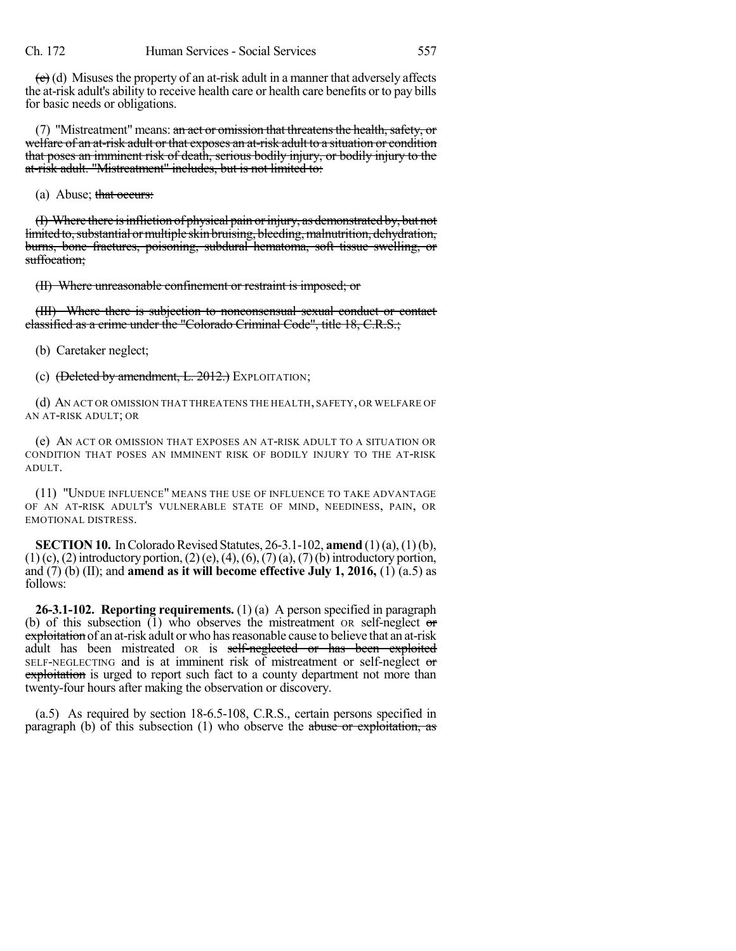$\left( \frac{c}{c} \right)$  (d) Misuses the property of an at-risk adult in a manner that adversely affects the at-risk adult's ability to receive health care or health care benefits or to pay bills for basic needs or obligations.

(7) "Mistreatment" means:  $\sin \omega t$  or omission that threatens the health, safety, or welfare of an at-risk adult or that exposes an at-risk adult to a situation or condition that poses an imminent risk of death, serious bodily injury, or bodily injury to the at-risk adult. "Mistreatment" includes, but is not limited to:

(a) Abuse; that occurs:

(I) Where there isinfliction of physical pain orinjury, as demonstrated by, but not limited to, substantial or multiple skin bruising, bleeding, malnutrition, dehydration, burns, bone fractures, poisoning, subdural hematoma, soft tissue swelling, or suffocation:

(II) Where unreasonable confinement or restraint is imposed; or

(III) Where there is subjection to nonconsensual sexual conduct or contact classified as a crime under the "Colorado Criminal Code", title 18, C.R.S.;

(b) Caretaker neglect;

(c)  $(\text{Deleted by amendment, L. 2012.})$  EXPLOITATION;

(d) AN ACT OR OMISSION THAT THREATENS THE HEALTH, SAFETY, OR WELFARE OF AN AT-RISK ADULT; OR

(e) AN ACT OR OMISSION THAT EXPOSES AN AT-RISK ADULT TO A SITUATION OR CONDITION THAT POSES AN IMMINENT RISK OF BODILY INJURY TO THE AT-RISK ADULT.

(11) "UNDUE INFLUENCE" MEANS THE USE OF INFLUENCE TO TAKE ADVANTAGE OF AN AT-RISK ADULT'S VULNERABLE STATE OF MIND, NEEDINESS, PAIN, OR EMOTIONAL DISTRESS.

**SECTION 10.** In Colorado Revised Statutes, 26-3.1-102, **amend** (1)(a), (1)(b),  $(1)$  (c), (2) introductory portion, (2)(e), (4), (6), (7)(a), (7)(b) introductory portion, and (7) (b) (II); and **amend as it will become effective July 1, 2016,** (1) (a.5) as follows:

**26-3.1-102. Reporting requirements.** (1) (a) A person specified in paragraph (b) of this subsection  $(1)$  who observes the mistreatment OR self-neglect or exploitation of an at-risk adult or who has reasonable cause to believe that an at-risk adult has been mistreated OR is self-neglected or has been exploited SELF-NEGLECTING and is at imminent risk of mistreatment or self-neglect or exploitation is urged to report such fact to a county department not more than twenty-four hours after making the observation or discovery.

(a.5) As required by section 18-6.5-108, C.R.S., certain persons specified in paragraph (b) of this subsection (1) who observe the abuse or exploitation, as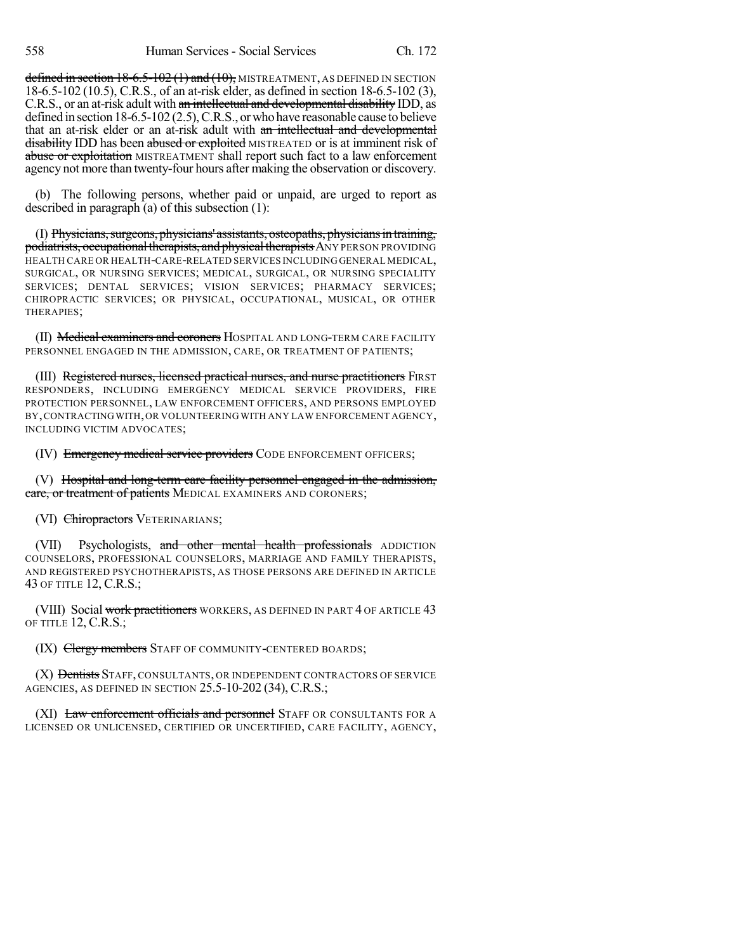defined in section  $18-6.5-102(1)$  and  $(10)$ , MISTREATMENT, AS DEFINED IN SECTION 18-6.5-102 (10.5), C.R.S., of an at-risk elder, as defined in section 18-6.5-102 (3), C.R.S., or an at-risk adult with an intellectual and developmental disability IDD, as defined in section 18-6.5-102 (2.5), C.R.S., or who have reasonable cause to believe that an at-risk elder or an at-risk adult with an intellectual and developmental disability IDD has been abused or exploited MISTREATED or is at imminent risk of abuse or exploitation MISTREATMENT shall report such fact to a law enforcement agency not more than twenty-four hours after making the observation or discovery.

(b) The following persons, whether paid or unpaid, are urged to report as described in paragraph (a) of this subsection (1):

(I) Physicians, surgeons, physicians' assistants, osteopaths, physicians in training, podiatrists, occupational therapists, and physical therapists ANY PERSON PROVIDING HEALTH CARE OR HEALTH-CARE-RELATED SERVICES INCLUDING GENERAL MEDICAL, SURGICAL, OR NURSING SERVICES; MEDICAL, SURGICAL, OR NURSING SPECIALITY SERVICES; DENTAL SERVICES; VISION SERVICES; PHARMACY SERVICES; CHIROPRACTIC SERVICES; OR PHYSICAL, OCCUPATIONAL, MUSICAL, OR OTHER THERAPIES;

(II) Medical examiners and coroners HOSPITAL AND LONG-TERM CARE FACILITY PERSONNEL ENGAGED IN THE ADMISSION, CARE, OR TREATMENT OF PATIENTS;

(III) Registered nurses, licensed practical nurses, and nurse practitioners FIRST RESPONDERS, INCLUDING EMERGENCY MEDICAL SERVICE PROVIDERS, FIRE PROTECTION PERSONNEL, LAW ENFORCEMENT OFFICERS, AND PERSONS EMPLOYED BY,CONTRACTINGWITH,OR VOLUNTEERING WITH ANY LAW ENFORCEMENT AGENCY, INCLUDING VICTIM ADVOCATES;

(IV) Emergency medical service providers CODE ENFORCEMENT OFFICERS;

(V) Hospital and long-term care facility personnel engaged in the admission, eare, or treatment of patients MEDICAL EXAMINERS AND CORONERS;

#### (VI) Chiropractors VETERINARIANS;

(VII) Psychologists, and other mental health professionals ADDICTION COUNSELORS, PROFESSIONAL COUNSELORS, MARRIAGE AND FAMILY THERAPISTS, AND REGISTERED PSYCHOTHERAPISTS, AS THOSE PERSONS ARE DEFINED IN ARTICLE 43 OF TITLE 12, C.R.S.;

(VIII) Social work practitioners WORKERS, AS DEFINED IN PART 4 OF ARTICLE 43 OF TITLE 12, C.R.S.;

(IX) Clergy members STAFF OF COMMUNITY-CENTERED BOARDS;

(X) Dentists STAFF, CONSULTANTS, OR INDEPENDENT CONTRACTORS OF SERVICE AGENCIES, AS DEFINED IN SECTION 25.5-10-202 (34), C.R.S.;

(XI) Law enforcement officials and personnel STAFF OR CONSULTANTS FOR A LICENSED OR UNLICENSED, CERTIFIED OR UNCERTIFIED, CARE FACILITY, AGENCY,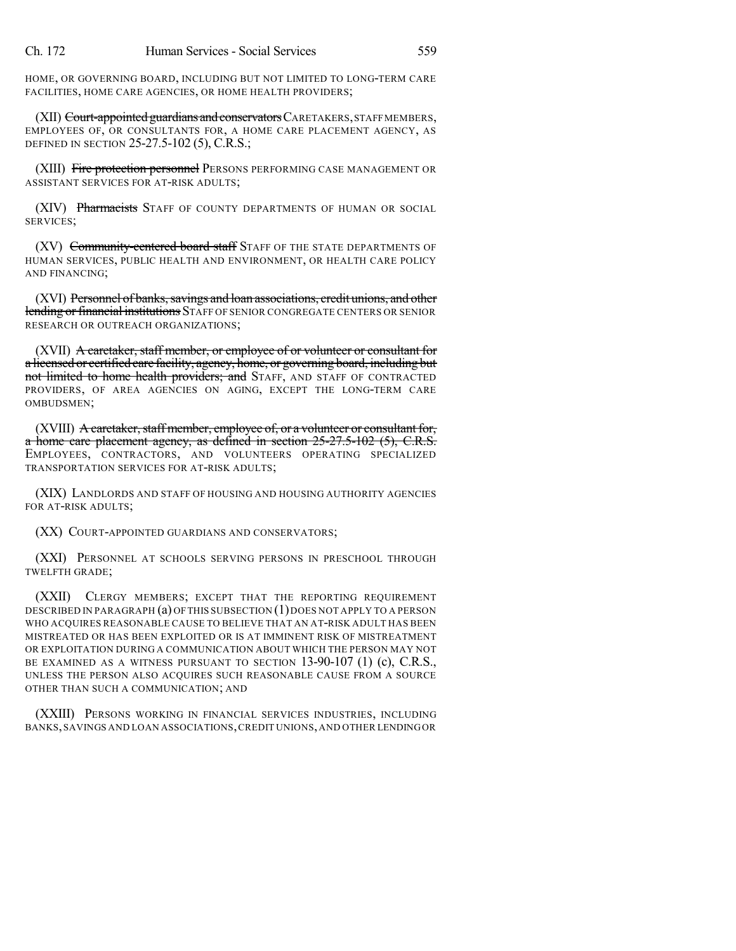HOME, OR GOVERNING BOARD, INCLUDING BUT NOT LIMITED TO LONG-TERM CARE FACILITIES, HOME CARE AGENCIES, OR HOME HEALTH PROVIDERS;

(XII) Court-appointed guardians and conservators CARETAKERS, STAFF MEMBERS, EMPLOYEES OF, OR CONSULTANTS FOR, A HOME CARE PLACEMENT AGENCY, AS DEFINED IN SECTION 25-27.5-102 (5), C.R.S.;

(XIII) Fire protection personnel PERSONS PERFORMING CASE MANAGEMENT OR ASSISTANT SERVICES FOR AT-RISK ADULTS;

(XIV) Pharmacists STAFF OF COUNTY DEPARTMENTS OF HUMAN OR SOCIAL SERVICES;

(XV) Community-centered board staff STAFF OF THE STATE DEPARTMENTS OF HUMAN SERVICES, PUBLIC HEALTH AND ENVIRONMENT, OR HEALTH CARE POLICY AND FINANCING;

(XVI) Personnel of banks, savings and loan associations, credit unions, and other lending or financial institutions STAFF OF SENIOR CONGREGATE CENTERS OR SENIOR RESEARCH OR OUTREACH ORGANIZATIONS;

(XVII) A caretaker, staff member, or employee of or volunteer or consultant for a licensed or certified care facility, agency, home, or governing board, including but not limited to home health providers; and STAFF, AND STAFF OF CONTRACTED PROVIDERS, OF AREA AGENCIES ON AGING, EXCEPT THE LONG-TERM CARE OMBUDSMEN;

 $(XVIII)$  A caretaker, staff member, employee of, or a volunteer or consultant for, a home care placement agency, as defined in section 25-27.5-102 (5), C.R.S. EMPLOYEES, CONTRACTORS, AND VOLUNTEERS OPERATING SPECIALIZED TRANSPORTATION SERVICES FOR AT-RISK ADULTS;

(XIX) LANDLORDS AND STAFF OF HOUSING AND HOUSING AUTHORITY AGENCIES FOR AT-RISK ADULTS;

(XX) COURT-APPOINTED GUARDIANS AND CONSERVATORS;

(XXI) PERSONNEL AT SCHOOLS SERVING PERSONS IN PRESCHOOL THROUGH TWELFTH GRADE;

(XXII) CLERGY MEMBERS; EXCEPT THAT THE REPORTING REQUIREMENT DESCRIBED IN PARAGRAPH (a) OF THIS SUBSECTION (1) DOES NOT APPLY TO A PERSON WHO ACQUIRES REASONABLE CAUSE TO BELIEVE THAT AN AT-RISK ADULT HAS BEEN MISTREATED OR HAS BEEN EXPLOITED OR IS AT IMMINENT RISK OF MISTREATMENT OR EXPLOITATION DURING A COMMUNICATION ABOUT WHICH THE PERSON MAY NOT BE EXAMINED AS A WITNESS PURSUANT TO SECTION 13-90-107 (1) (c), C.R.S., UNLESS THE PERSON ALSO ACQUIRES SUCH REASONABLE CAUSE FROM A SOURCE OTHER THAN SUCH A COMMUNICATION; AND

(XXIII) PERSONS WORKING IN FINANCIAL SERVICES INDUSTRIES, INCLUDING BANKS,SAVINGS AND LOAN ASSOCIATIONS,CREDIT UNIONS,AND OTHER LENDINGOR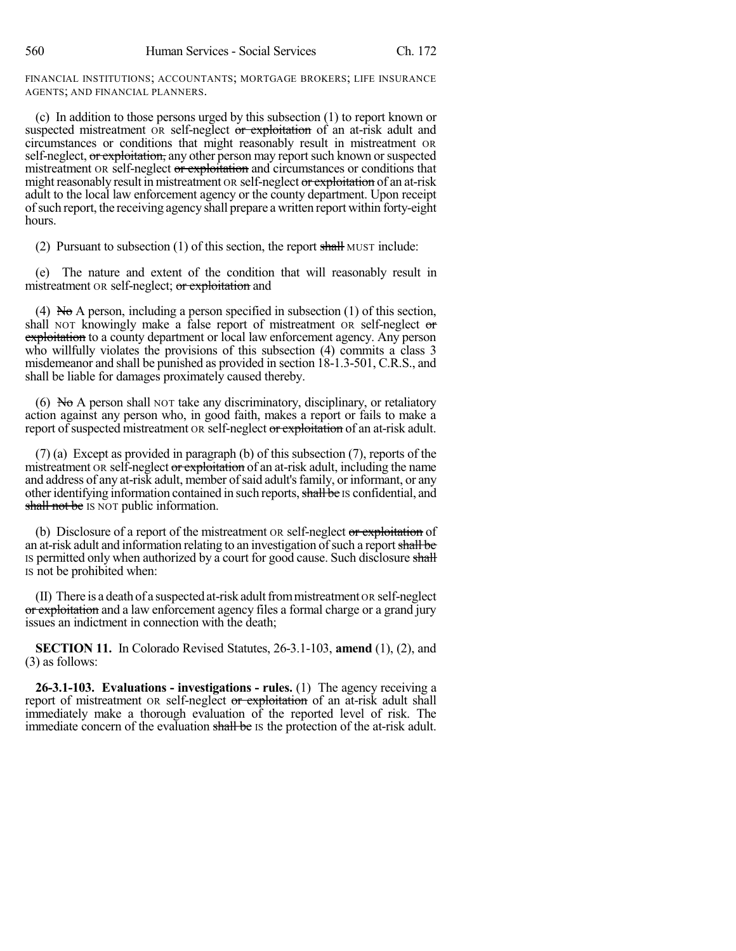FINANCIAL INSTITUTIONS; ACCOUNTANTS; MORTGAGE BROKERS; LIFE INSURANCE AGENTS; AND FINANCIAL PLANNERS.

(c) In addition to those persons urged by this subsection (1) to report known or suspected mistreatment OR self-neglect or exploitation of an at-risk adult and circumstances or conditions that might reasonably result in mistreatment OR self-neglect, or exploitation, any other person may report such known or suspected mistreatment OR self-neglect or exploitation and circumstances or conditions that might reasonably result in mistreatment OR self-neglect or exploitation of an at-risk adult to the local law enforcement agency or the county department. Upon receipt ofsuch report, the receiving agency shall prepare a written report within forty-eight hours.

(2) Pursuant to subsection (1) of this section, the report shall MUST include:

(e) The nature and extent of the condition that will reasonably result in mistreatment OR self-neglect; or exploitation and

(4) No A person, including a person specified in subsection  $(1)$  of this section, shall NOT knowingly make a false report of mistreatment OR self-neglect or exploitation to a county department or local law enforcement agency. Any person who willfully violates the provisions of this subsection (4) commits a class 3 misdemeanor and shall be punished as provided in section 18-1.3-501, C.R.S., and shall be liable for damages proximately caused thereby.

(6) No A person shall NOT take any discriminatory, disciplinary, or retaliatory action against any person who, in good faith, makes a report or fails to make a report of suspected mistreatment OR self-neglect or exploitation of an at-risk adult.

(7) (a) Except as provided in paragraph (b) of this subsection (7), reports of the mistreatment OR self-neglect or exploitation of an at-risk adult, including the name and address of any at-risk adult, member of said adult's family, or informant, or any other identifying information contained in such reports, shall be IS confidential, and shall not be IS NOT public information.

(b) Disclosure of a report of the mistreatment OR self-neglect or exploitation of an at-risk adult and information relating to an investigation of such a report shall be IS permitted only when authorized by a court for good cause. Such disclosure shall IS not be prohibited when:

 $(II)$  There is a death of a suspected at-risk adult from mistreatment  $OR$  self-neglect or exploitation and a law enforcement agency files a formal charge or a grand jury issues an indictment in connection with the death;

**SECTION 11.** In Colorado Revised Statutes, 26-3.1-103, **amend** (1), (2), and (3) as follows:

**26-3.1-103. Evaluations - investigations - rules.** (1) The agency receiving a report of mistreatment OR self-neglect or exploitation of an at-risk adult shall immediately make a thorough evaluation of the reported level of risk. The immediate concern of the evaluation shall be IS the protection of the at-risk adult.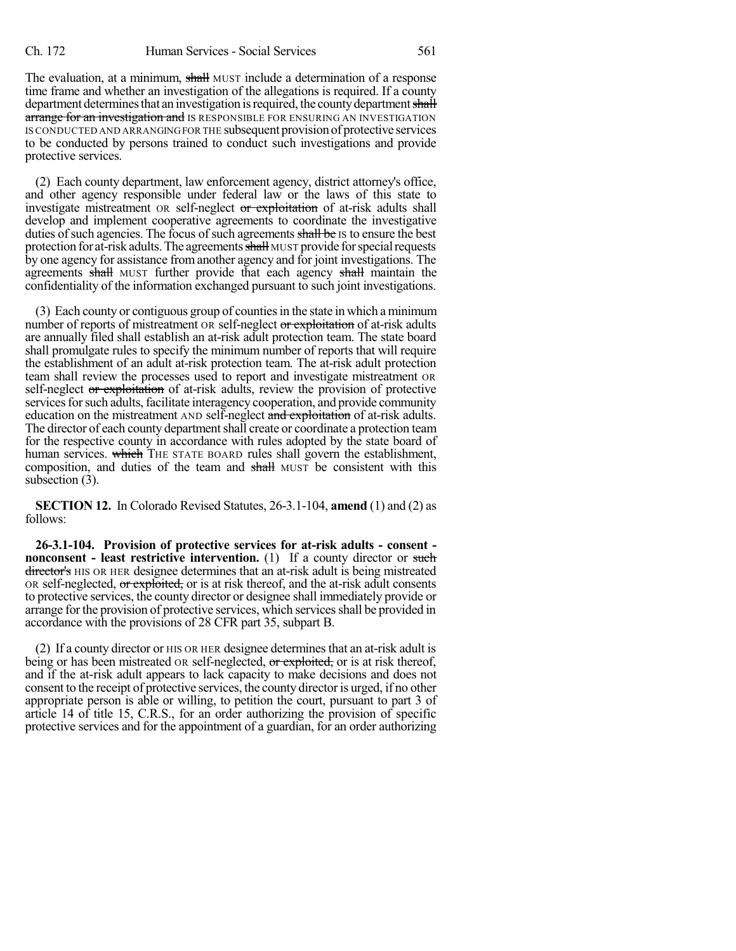The evaluation, at a minimum, shall MUST include a determination of a response time frame and whether an investigation of the allegations is required. If a county department determines that an investigation is required, the county department shall arrange for an investigation and IS RESPONSIBLE FOR ENSURING AN INVESTIGATION IS CONDUCTED AND ARRANGINGFOR THE subsequent provision of protective services to be conducted by persons trained to conduct such investigations and provide protective services.

(2) Each county department, law enforcement agency, district attorney's office, and other agency responsible under federal law or the laws of this state to investigate mistreatment OR self-neglect or exploitation of at-risk adults shall develop and implement cooperative agreements to coordinate the investigative duties of such agencies. The focus of such agreements shall be IS to ensure the best protection for at-risk adults. The agreements shall MUST provide for special requests by one agency for assistance from another agency and for joint investigations. The agreements shall MUST further provide that each agency shall maintain the confidentiality of the information exchanged pursuant to such joint investigations.

(3) Each county or contiguous group of countiesin the state in which a minimum number of reports of mistreatment OR self-neglect or exploitation of at-risk adults are annually filed shall establish an at-risk adult protection team. The state board shall promulgate rules to specify the minimum number of reports that will require the establishment of an adult at-risk protection team. The at-risk adult protection team shall review the processes used to report and investigate mistreatment OR self-neglect or exploitation of at-risk adults, review the provision of protective services for such adults, facilitate interagency cooperation, and provide community education on the mistreatment AND self-neglect and exploitation of at-risk adults. The director of each county department shall create or coordinate a protection team for the respective county in accordance with rules adopted by the state board of human services. which THE STATE BOARD rules shall govern the establishment, composition, and duties of the team and shall MUST be consistent with this subsection (3).

**SECTION 12.** In Colorado Revised Statutes, 26-3.1-104, **amend** (1) and (2) as follows:

**26-3.1-104. Provision of protective services for at-risk adults - consent nonconsent - least restrictive intervention.** (1) If a county director or such director's HIS OR HER designee determines that an at-risk adult is being mistreated OR self-neglected, or exploited, or is at risk thereof, and the at-risk adult consents to protective services, the county director or designee shall immediately provide or arrange for the provision of protective services, which servicesshall be provided in accordance with the provisions of 28 CFR part 35, subpart B.

(2) If a county director or HIS OR HER designee determinesthat an at-risk adult is being or has been mistreated OR self-neglected, or exploited, or is at risk thereof, and if the at-risk adult appears to lack capacity to make decisions and does not consent to the receipt of protective services, the county director is urged, if no other appropriate person is able or willing, to petition the court, pursuant to part 3 of article 14 of title 15, C.R.S., for an order authorizing the provision of specific protective services and for the appointment of a guardian, for an order authorizing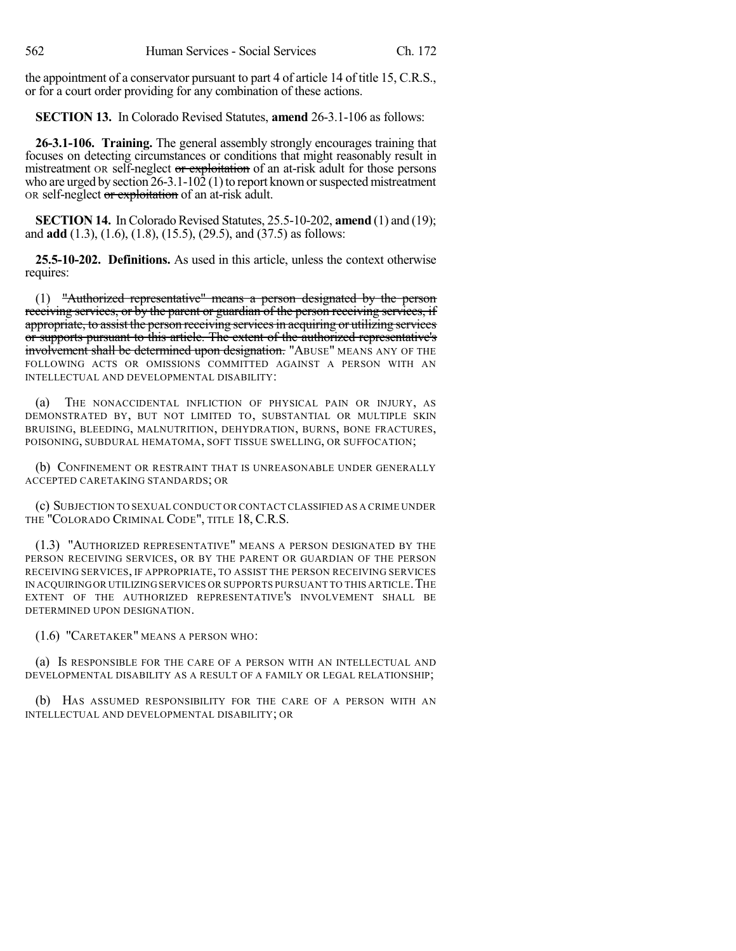the appointment of a conservator pursuant to part 4 of article 14 of title 15, C.R.S., or for a court order providing for any combination of these actions.

**SECTION 13.** In Colorado Revised Statutes, **amend** 26-3.1-106 as follows:

**26-3.1-106. Training.** The general assembly strongly encourages training that focuses on detecting circumstances or conditions that might reasonably result in mistreatment OR self-neglect or exploitation of an at-risk adult for those persons who are urged by section  $26-3.1-10\overline{2}$  (1) to report known or suspected mistreatment OR self-neglect or exploitation of an at-risk adult.

**SECTION 14.** In Colorado Revised Statutes, 25.5-10-202, **amend** (1) and (19); and **add** (1.3), (1.6), (1.8), (15.5), (29.5), and (37.5) as follows:

**25.5-10-202. Definitions.** As used in this article, unless the context otherwise requires:

(1) "Authorized representative" means a person designated by the person receiving services, or by the parent or guardian of the person receiving services, if appropriate, to assist the person receiving services in acquiring or utilizing services or supports pursuant to this article. The extent of the authorized representative's involvement shall be determined upon designation. "ABUSE" MEANS ANY OF THE FOLLOWING ACTS OR OMISSIONS COMMITTED AGAINST A PERSON WITH AN INTELLECTUAL AND DEVELOPMENTAL DISABILITY:

THE NONACCIDENTAL INFLICTION OF PHYSICAL PAIN OR INJURY, AS DEMONSTRATED BY, BUT NOT LIMITED TO, SUBSTANTIAL OR MULTIPLE SKIN BRUISING, BLEEDING, MALNUTRITION, DEHYDRATION, BURNS, BONE FRACTURES, POISONING, SUBDURAL HEMATOMA, SOFT TISSUE SWELLING, OR SUFFOCATION;

(b) CONFINEMENT OR RESTRAINT THAT IS UNREASONABLE UNDER GENERALLY ACCEPTED CARETAKING STANDARDS; OR

(c) SUBJECTION TO SEXUAL CONDUCT OR CONTACT CLASSIFIED AS A CRIME UNDER THE "COLORADO CRIMINAL CODE", TITLE 18, C.R.S.

(1.3) "AUTHORIZED REPRESENTATIVE" MEANS A PERSON DESIGNATED BY THE PERSON RECEIVING SERVICES, OR BY THE PARENT OR GUARDIAN OF THE PERSON RECEIVING SERVICES, IF APPROPRIATE, TO ASSIST THE PERSON RECEIVING SERVICES IN ACQUIRINGOR UTILIZING SERVICES OR SUPPORTS PURSUANT TO THIS ARTICLE.THE EXTENT OF THE AUTHORIZED REPRESENTATIVE'S INVOLVEMENT SHALL BE DETERMINED UPON DESIGNATION.

(1.6) "CARETAKER" MEANS A PERSON WHO:

(a) IS RESPONSIBLE FOR THE CARE OF A PERSON WITH AN INTELLECTUAL AND DEVELOPMENTAL DISABILITY AS A RESULT OF A FAMILY OR LEGAL RELATIONSHIP;

(b) HAS ASSUMED RESPONSIBILITY FOR THE CARE OF A PERSON WITH AN INTELLECTUAL AND DEVELOPMENTAL DISABILITY; OR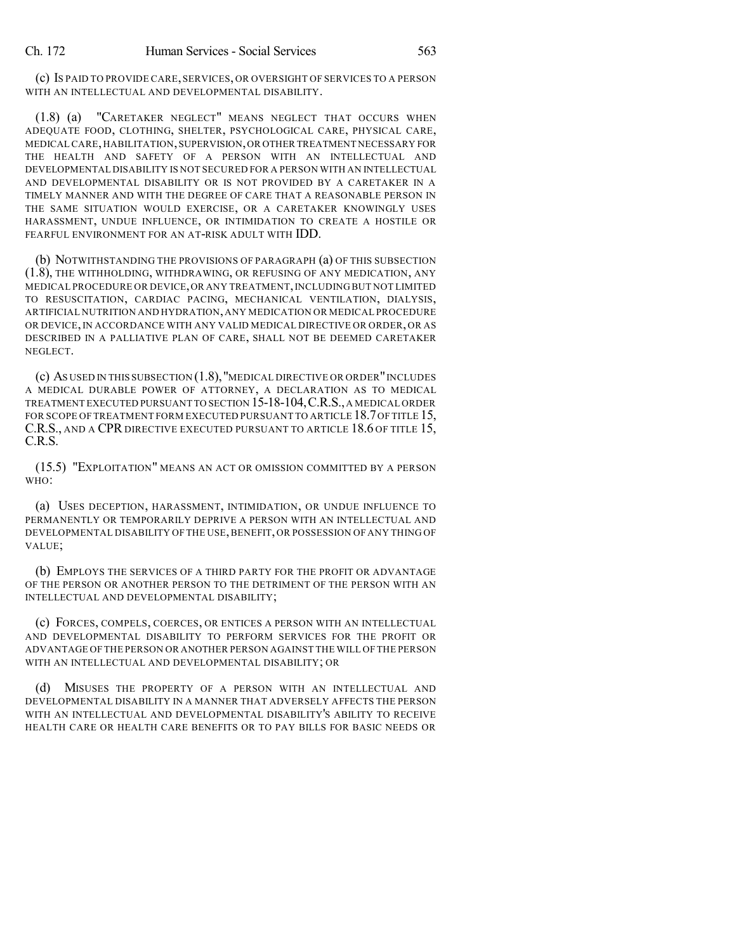(c) IS PAID TO PROVIDE CARE, SERVICES, OR OVERSIGHT OF SERVICES TO A PERSON WITH AN INTELLECTUAL AND DEVELOPMENTAL DISABILITY.

(1.8) (a) "CARETAKER NEGLECT" MEANS NEGLECT THAT OCCURS WHEN ADEQUATE FOOD, CLOTHING, SHELTER, PSYCHOLOGICAL CARE, PHYSICAL CARE, MEDICALCARE,HABILITATION,SUPERVISION,OR OTHER TREATMENT NECESSARY FOR THE HEALTH AND SAFETY OF A PERSON WITH AN INTELLECTUAL AND DEVELOPMENTAL DISABILITY IS NOT SECURED FOR A PERSON WITH AN INTELLECTUAL AND DEVELOPMENTAL DISABILITY OR IS NOT PROVIDED BY A CARETAKER IN A TIMELY MANNER AND WITH THE DEGREE OF CARE THAT A REASONABLE PERSON IN THE SAME SITUATION WOULD EXERCISE, OR A CARETAKER KNOWINGLY USES HARASSMENT, UNDUE INFLUENCE, OR INTIMIDATION TO CREATE A HOSTILE OR FEARFUL ENVIRONMENT FOR AN AT-RISK ADULT WITH IDD.

(b) NOTWITHSTANDING THE PROVISIONS OF PARAGRAPH (a) OF THIS SUBSECTION (1.8), THE WITHHOLDING, WITHDRAWING, OR REFUSING OF ANY MEDICATION, ANY MEDICAL PROCEDURE OR DEVICE,OR ANY TREATMENT,INCLUDING BUT NOT LIMITED TO RESUSCITATION, CARDIAC PACING, MECHANICAL VENTILATION, DIALYSIS, ARTIFICIAL NUTRITION AND HYDRATION,ANY MEDICATION OR MEDICAL PROCEDURE OR DEVICE,IN ACCORDANCE WITH ANY VALID MEDICAL DIRECTIVE OR ORDER, OR AS DESCRIBED IN A PALLIATIVE PLAN OF CARE, SHALL NOT BE DEEMED CARETAKER NEGLECT.

(c) AS USED IN THIS SUBSECTION (1.8),"MEDICAL DIRECTIVE OR ORDER"INCLUDES A MEDICAL DURABLE POWER OF ATTORNEY, A DECLARATION AS TO MEDICAL TREATMENT EXECUTED PURSUANT TO SECTION 15-18-104,C.R.S.,A MEDICAL ORDER FOR SCOPE OF TREATMENT FORM EXECUTED PURSUANT TO ARTICLE 18.7 OF TITLE 15, C.R.S., AND A CPR DIRECTIVE EXECUTED PURSUANT TO ARTICLE 18.6 OF TITLE 15, C.R.S.

(15.5) "EXPLOITATION" MEANS AN ACT OR OMISSION COMMITTED BY A PERSON WHO:

(a) USES DECEPTION, HARASSMENT, INTIMIDATION, OR UNDUE INFLUENCE TO PERMANENTLY OR TEMPORARILY DEPRIVE A PERSON WITH AN INTELLECTUAL AND DEVELOPMENTAL DISABILITY OF THE USE,BENEFIT, OR POSSESSION OF ANY THING OF VALUE;

(b) EMPLOYS THE SERVICES OF A THIRD PARTY FOR THE PROFIT OR ADVANTAGE OF THE PERSON OR ANOTHER PERSON TO THE DETRIMENT OF THE PERSON WITH AN INTELLECTUAL AND DEVELOPMENTAL DISABILITY;

(c) FORCES, COMPELS, COERCES, OR ENTICES A PERSON WITH AN INTELLECTUAL AND DEVELOPMENTAL DISABILITY TO PERFORM SERVICES FOR THE PROFIT OR ADVANTAGE OF THE PERSON OR ANOTHER PERSON AGAINST THE WILL OF THE PERSON WITH AN INTELLECTUAL AND DEVELOPMENTAL DISABILITY; OR

MISUSES THE PROPERTY OF A PERSON WITH AN INTELLECTUAL AND DEVELOPMENTAL DISABILITY IN A MANNER THAT ADVERSELY AFFECTS THE PERSON WITH AN INTELLECTUAL AND DEVELOPMENTAL DISABILITY'S ABILITY TO RECEIVE HEALTH CARE OR HEALTH CARE BENEFITS OR TO PAY BILLS FOR BASIC NEEDS OR